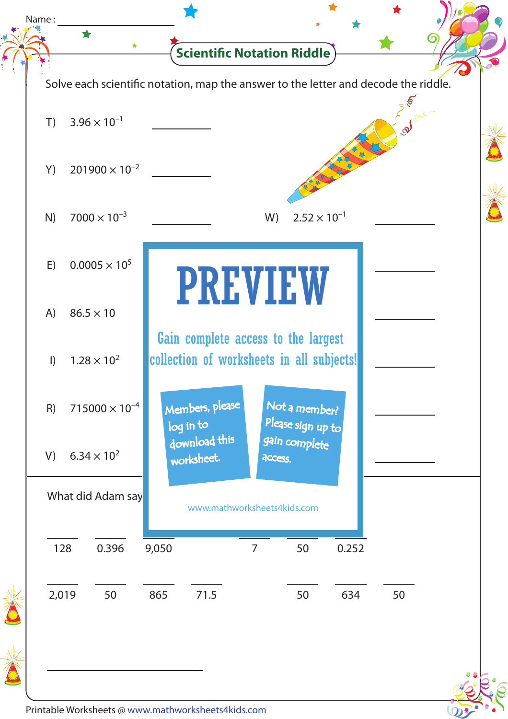